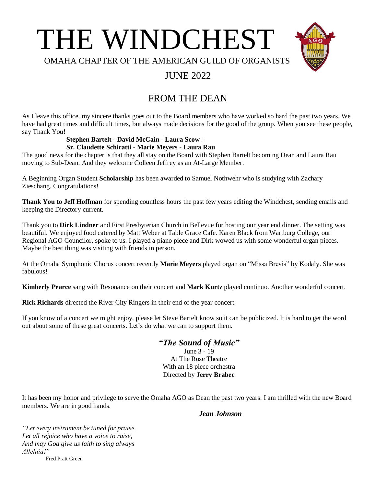



OMAHA CHAPTER OF THE AMERICAN GUILD OF ORGANISTS

# JUNE 2022

# FROM THE DEAN

As I leave this office, my sincere thanks goes out to the Board members who have worked so hard the past two years. We have had great times and difficult times, but always made decisions for the good of the group. When you see these people, say Thank You!

### **Stephen Bartelt - David McCain - Laura Scow -**

#### **Sr. Claudette Schiratti - Marie Meyers - Laura Rau**

The good news for the chapter is that they all stay on the Board with Stephen Bartelt becoming Dean and Laura Rau moving to Sub-Dean. And they welcome Colleen Jeffrey as an At-Large Member.

A Beginning Organ Student **Scholarship** has been awarded to Samuel Nothwehr who is studying with Zachary Zieschang. Congratulations!

**Thank You to Jeff Hoffman** for spending countless hours the past few years editing the Windchest, sending emails and keeping the Directory current.

Thank you to **Dirk Lindner** and First Presbyterian Church in Bellevue for hosting our year end dinner. The setting was beautiful. We enjoyed food catered by Matt Weber at Table Grace Cafe. Karen Black from Wartburg College, our Regional AGO Councilor, spoke to us. I played a piano piece and Dirk wowed us with some wonderful organ pieces. Maybe the best thing was visiting with friends in person.

At the Omaha Symphonic Chorus concert recently **Marie Meyers** played organ on "Missa Brevis" by Kodaly. She was fabulous!

**Kimberly Pearce** sang with Resonance on their concert and **Mark Kurtz** played continuo. Another wonderful concert.

**Rick Richards** directed the River City Ringers in their end of the year concert.

If you know of a concert we might enjoy, please let Steve Bartelt know so it can be publicized. It is hard to get the word out about some of these great concerts. Let's do what we can to support them.

# *"The Sound of Music"*

June 3 - 19 At The Rose Theatre With an 18 piece orchestra Directed by **Jerry Brabec**

It has been my honor and privilege to serve the Omaha AGO as Dean the past two years. I am thrilled with the new Board members. We are in good hands.

#### *Jean Johnson*

*"Let every instrument be tuned for praise. Let all rejoice who have a voice to raise, And may God give us faith to sing always Alleluia!"* 

**Fred Pratt Green**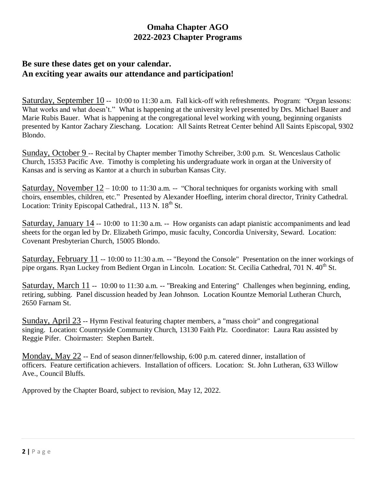# **Omaha Chapter AGO 2022-2023 Chapter Programs**

## **Be sure these dates get on your calendar. An exciting year awaits our attendance and participation!**

Saturday, September 10 -- 10:00 to 11:30 a.m. Fall kick-off with refreshments. Program: "Organ lessons: What works and what doesn't." What is happening at the university level presented by Drs. Michael Bauer and Marie Rubis Bauer. What is happening at the congregational level working with young, beginning organists presented by Kantor Zachary Zieschang. Location: All Saints Retreat Center behind All Saints Episcopal, 9302 Blondo.

Sunday, October 9 -- Recital by Chapter member Timothy Schreiber, 3:00 p.m. St. Wenceslaus Catholic Church, 15353 Pacific Ave. Timothy is completing his undergraduate work in organ at the University of Kansas and is serving as Kantor at a church in suburban Kansas City.

Saturday, November  $12 - 10:00$  to 11:30 a.m. -- "Choral techniques for organists working with small choirs, ensembles, children, etc." Presented by Alexander Hoefling, interim choral director, Trinity Cathedral. Location: Trinity Episcopal Cathedral.,  $113$  N.  $18<sup>th</sup>$  St.

Saturday, January 14 -- 10:00 to 11:30 a.m. -- How organists can adapt pianistic accompaniments and lead sheets for the organ led by Dr. Elizabeth Grimpo, music faculty, Concordia University, Seward. Location: Covenant Presbyterian Church, 15005 Blondo.

Saturday, February 11 -- 10:00 to 11:30 a.m. -- "Beyond the Console" Presentation on the inner workings of pipe organs. Ryan Luckey from Bedient Organ in Lincoln. Location: St. Cecilia Cathedral, 701 N. 40<sup>th</sup> St.

Saturday, March 11 -- 10:00 to 11:30 a.m. -- "Breaking and Entering" Challenges when beginning, ending, retiring, subbing. Panel discussion headed by Jean Johnson. Location Kountze Memorial Lutheran Church, 2650 Farnam St.

Sunday, April 23 -- Hymn Festival featuring chapter members, a "mass choir" and congregational singing. Location: Countryside Community Church, 13130 Faith Plz. Coordinator: Laura Rau assisted by Reggie Pifer. Choirmaster: Stephen Bartelt.

Monday, May 22 -- End of season dinner/fellowship, 6:00 p.m. catered dinner, installation of officers. Feature certification achievers. Installation of officers. Location: St. John Lutheran, 633 Willow Ave., Council Bluffs.

Approved by the Chapter Board, subject to revision, May 12, 2022.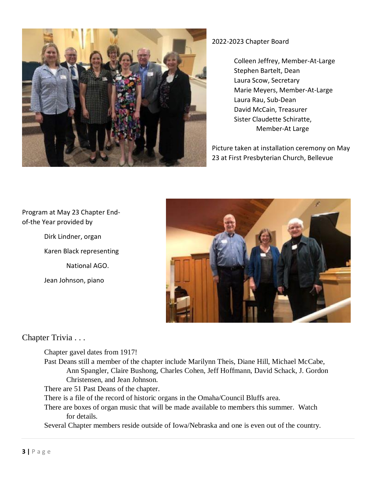

### 2022-2023 Chapter Board

Colleen Jeffrey, Member-At-Large Stephen Bartelt, Dean Laura Scow, Secretary Marie Meyers, Member-At-Large Laura Rau, Sub-Dean David McCain, Treasurer Sister Claudette Schiratte, Member-At Large

Picture taken at installation ceremony on May 23 at First Presbyterian Church, Bellevue

## Program at May 23 Chapter Endof-the Year provided by

Dirk Lindner, organ Karen Black representing National AGO. Jean Johnson, piano



## Chapter Trivia . . .

Chapter gavel dates from 1917!

Past Deans still a member of the chapter include Marilynn Theis, Diane Hill, Michael McCabe, Ann Spangler, Claire Bushong, Charles Cohen, Jeff Hoffmann, David Schack, J. Gordon Christensen, and Jean Johnson.

There are 51 Past Deans of the chapter.

There is a file of the record of historic organs in the Omaha/Council Bluffs area.

There are boxes of organ music that will be made available to members this summer. Watch for details.

Several Chapter members reside outside of Iowa/Nebraska and one is even out of the country.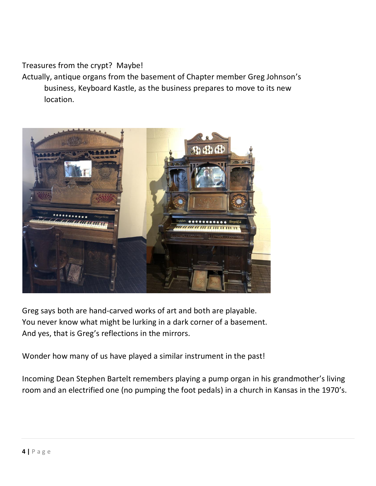Treasures from the crypt? Maybe!

Actually, antique organs from the basement of Chapter member Greg Johnson's business, Keyboard Kastle, as the business prepares to move to its new location.



Greg says both are hand-carved works of art and both are playable. You never know what might be lurking in a dark corner of a basement. And yes, that is Greg's reflections in the mirrors.

Wonder how many of us have played a similar instrument in the past!

Incoming Dean Stephen Bartelt remembers playing a pump organ in his grandmother's living room and an electrified one (no pumping the foot pedals) in a church in Kansas in the 1970's.